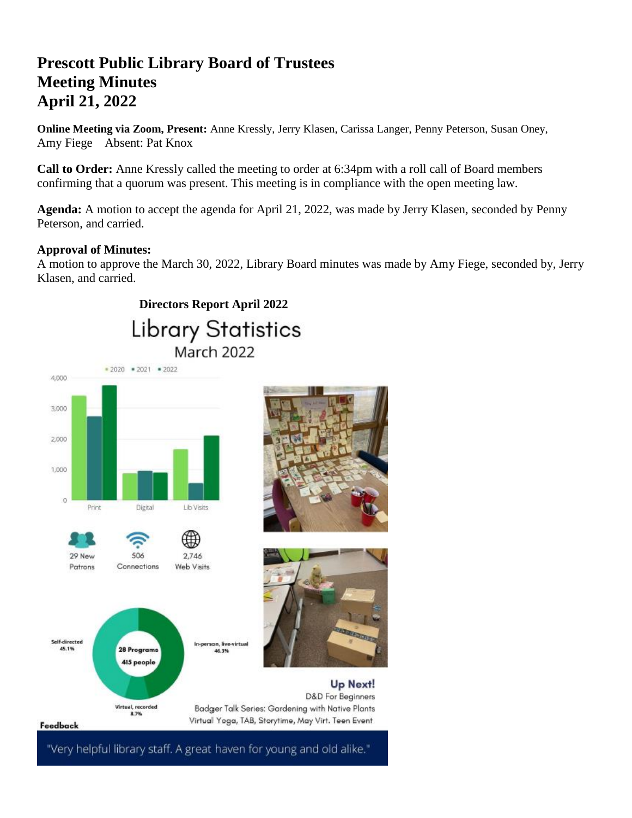# **Prescott Public Library Board of Trustees Meeting Minutes April 21, 2022**

**Online Meeting via Zoom, Present:** Anne Kressly, Jerry Klasen, Carissa Langer, Penny Peterson, Susan Oney, Amy Fiege Absent: Pat Knox

**Call to Order:** Anne Kressly called the meeting to order at 6:34pm with a roll call of Board members confirming that a quorum was present. This meeting is in compliance with the open meeting law.

**Agenda:** A motion to accept the agenda for April 21, 2022, was made by Jerry Klasen, seconded by Penny Peterson, and carried.

# **Approval of Minutes:**

A motion to approve the March 30, 2022, Library Board minutes was made by Amy Fiege, seconded by, Jerry Klasen, and carried.